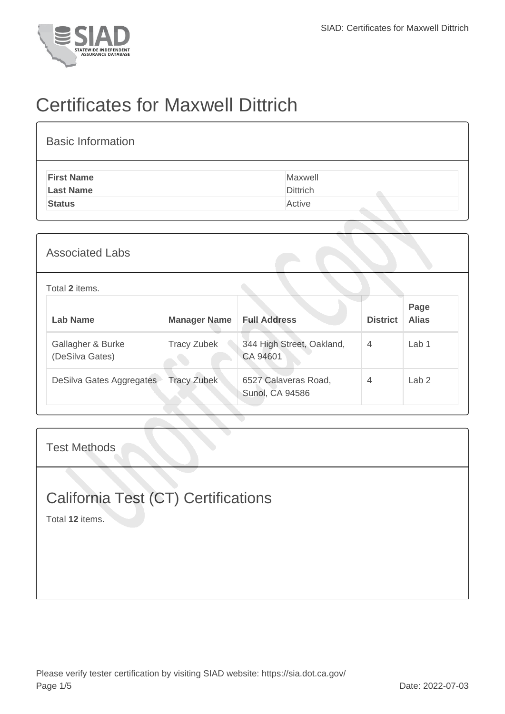

## Certificates for Maxwell Dittrich

| <b>Associated Labs</b>               |                     |                                                |                 |                      |
|--------------------------------------|---------------------|------------------------------------------------|-----------------|----------------------|
| Total 2 items.                       |                     |                                                |                 |                      |
| <b>Lab Name</b>                      | <b>Manager Name</b> | <b>Full Address</b>                            | <b>District</b> | Page<br><b>Alias</b> |
| Gallagher & Burke<br>(DeSilva Gates) | <b>Tracy Zubek</b>  | 344 High Street, Oakland,<br>CA 94601          | $\overline{4}$  | Lab <sub>1</sub>     |
| DeSilva Gates Aggregates             | <b>Tracy Zubek</b>  | 6527 Calaveras Road,<br><b>Sunol, CA 94586</b> | $\overline{4}$  | Lab <sub>2</sub>     |
|                                      |                     |                                                |                 |                      |

Test Methods

## California Test (CT) Certifications

Total **12** items.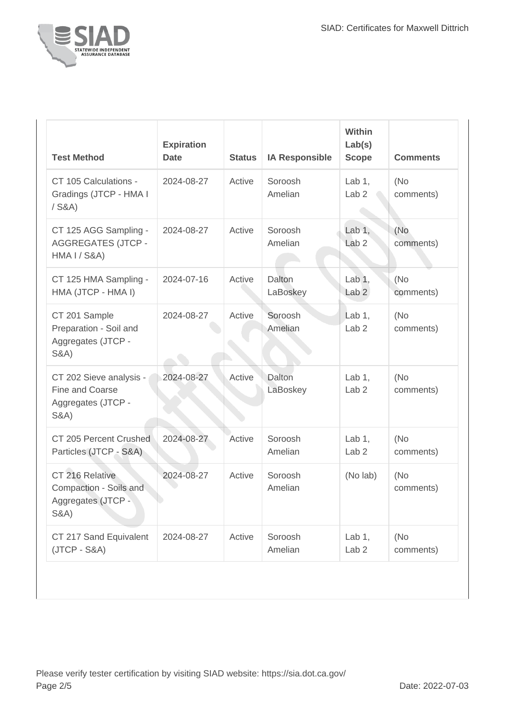

| <b>Test Method</b>                                                                  | <b>Expiration</b><br><b>Date</b> | <b>Status</b> | <b>IA Responsible</b> | <b>Within</b><br>Lab(s)<br><b>Scope</b> | <b>Comments</b>   |
|-------------------------------------------------------------------------------------|----------------------------------|---------------|-----------------------|-----------------------------------------|-------------------|
| CT 105 Calculations -<br>Gradings (JTCP - HMA I<br>$/$ S&A)                         | 2024-08-27                       | Active        | Soroosh<br>Amelian    | Lab $1,$<br>Lab <sub>2</sub>            | (No<br>comments)  |
| CT 125 AGG Sampling -<br><b>AGGREGATES (JTCP -</b><br><b>HMA I / S&amp;A)</b>       | 2024-08-27                       | Active        | Soroosh<br>Amelian    | Lab $1,$<br>Lab <sub>2</sub>            | (No<br>comments)  |
| CT 125 HMA Sampling -<br>HMA (JTCP - HMA I)                                         | 2024-07-16                       | Active        | Dalton<br>LaBoskey    | Lab $1,$<br>Lab <sub>2</sub>            | (No<br>comments)  |
| CT 201 Sample<br>Preparation - Soil and<br>Aggregates (JTCP -<br><b>S&amp;A)</b>    | 2024-08-27                       | Active        | Soroosh<br>Amelian    | Lab $1,$<br>Lab <sub>2</sub>            | (No<br>comments)  |
| CT 202 Sieve analysis -<br>Fine and Coarse<br>Aggregates (JTCP -<br><b>S&amp;A)</b> | 2024-08-27                       | Active        | Dalton<br>LaBoskey    | Lab $1,$<br>Lab <sub>2</sub>            | (No<br>comments)  |
| CT 205 Percent Crushed<br>Particles (JTCP - S&A)                                    | 2024-08-27                       | Active        | Soroosh<br>Amelian    | Lab $1$ ,<br>Lab <sub>2</sub>           | (No<br>comments)  |
| CT 216 Relative<br>Compaction - Soils and<br>Aggregates (JTCP -<br><b>S&amp;A)</b>  | 2024-08-27                       | Active        | Soroosh<br>Amelian    | (No lab)                                | (No<br>comments)  |
| CT 217 Sand Equivalent<br>$(JTCP - S&A)$                                            | 2024-08-27                       | Active        | Soroosh<br>Amelian    | Lab $1,$<br>Lab <sub>2</sub>            | (No)<br>comments) |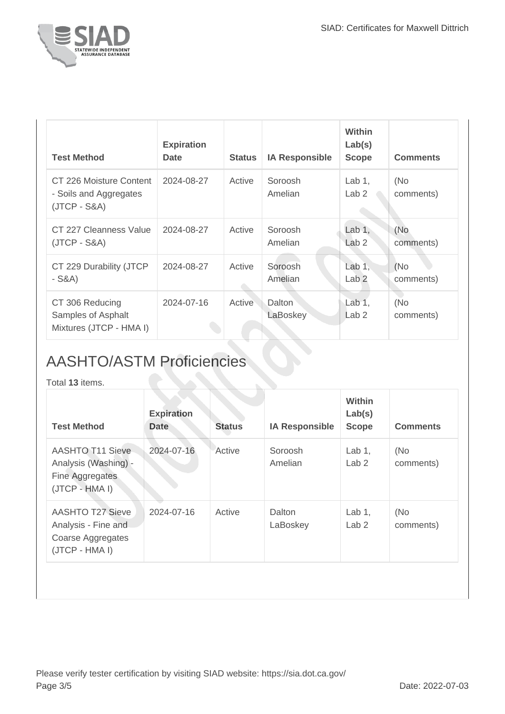

| <b>Test Method</b>                                                  | <b>Expiration</b><br><b>Date</b> | <b>Status</b> | <b>IA Responsible</b> | <b>Within</b><br>Lab(s)<br><b>Scope</b> | <b>Comments</b>  |
|---------------------------------------------------------------------|----------------------------------|---------------|-----------------------|-----------------------------------------|------------------|
| CT 226 Moisture Content<br>- Soils and Aggregates<br>$(JTCP - S&A)$ | 2024-08-27                       | Active        | Soroosh<br>Amelian    | Lab $1,$<br>Lab <sub>2</sub>            | (No<br>comments) |
| CT 227 Cleanness Value<br>(JTCP - S&A)                              | 2024-08-27                       | Active        | Soroosh<br>Amelian    | Lab $1,$<br>Lab <sub>2</sub>            | (No<br>comments) |
| CT 229 Durability (JTCP<br>- S&A)                                   | 2024-08-27                       | Active        | Soroosh<br>Amelian    | Lab $1$ ,<br>Lab <sub>2</sub>           | (No<br>comments) |
| CT 306 Reducing<br>Samples of Asphalt<br>Mixtures (JTCP - HMA I)    | 2024-07-16                       | Active        | Dalton<br>LaBoskey    | Lab $1,$<br>Lab <sub>2</sub>            | (No<br>comments) |

## AASHTO/ASTM Proficiencies

Total **13** items.

| <b>Test Method</b>                                                                    | <b>Expiration</b><br>Date | <b>Status</b> | <b>IA Responsible</b> | Within<br>Lab(s)<br><b>Scope</b> | <b>Comments</b>  |
|---------------------------------------------------------------------------------------|---------------------------|---------------|-----------------------|----------------------------------|------------------|
| <b>AASHTO T11 Sieve</b><br>Analysis (Washing) -<br>Fine Aggregates<br>(JTCP - HMA I)  | 2024-07-16                | Active        | Soroosh<br>Amelian    | Lab $1$ ,<br>Lab <sub>2</sub>    | (No<br>comments) |
| <b>AASHTO T27 Sieve</b><br>Analysis - Fine and<br>Coarse Aggregates<br>(JTCP - HMA I) | 2024-07-16                | Active        | Dalton<br>LaBoskey    | Lab $1$ ,<br>Lab <sub>2</sub>    | (No<br>comments) |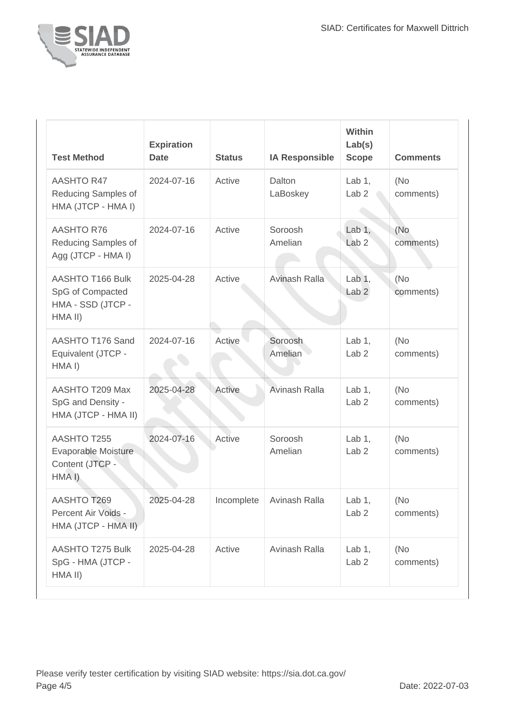

| <b>Test Method</b>                                                          | <b>Expiration</b><br><b>Date</b> | <b>Status</b> | <b>IA Responsible</b>      | Within<br>Lab(s)<br><b>Scope</b> | <b>Comments</b>  |
|-----------------------------------------------------------------------------|----------------------------------|---------------|----------------------------|----------------------------------|------------------|
| <b>AASHTO R47</b><br>Reducing Samples of<br>HMA (JTCP - HMA I)              | 2024-07-16                       | Active        | Dalton<br>LaBoskey         | Lab $1$ ,<br>Lab <sub>2</sub>    | (No<br>comments) |
| <b>AASHTO R76</b><br>Reducing Samples of<br>Agg (JTCP - HMA I)              | 2024-07-16                       | Active        | Soroosh<br>Amelian         | Lab $1,$<br>Lab <sub>2</sub>     | (No<br>comments) |
| <b>AASHTO T166 Bulk</b><br>SpG of Compacted<br>HMA - SSD (JTCP -<br>HMA II) | 2025-04-28                       | Active        | Avinash Ralla              | Lab $1,$<br>Lab <sub>2</sub>     | (No<br>comments) |
| AASHTO T176 Sand<br>Equivalent (JTCP -<br>HMA I)                            | 2024-07-16                       | Active        | Soroosh<br>Amelian         | Lab $1$ ,<br>Lab <sub>2</sub>    | (No<br>comments) |
| AASHTO T209 Max<br>SpG and Density -<br>HMA (JTCP - HMA II)                 | 2025-04-28                       | Active        | Avinash Ralla              | Lab $1$ ,<br>Lab <sub>2</sub>    | (No<br>comments) |
| AASHTO T255<br>Evaporable Moisture<br>Content (JTCP -<br>HMA I)             | 2024-07-16                       | Active        | Soroosh<br>Amelian         | Lab $1$ ,<br>Lab <sub>2</sub>    | (No<br>comments) |
| AASHTO T269<br>Percent Air Voids -<br>HMA (JTCP - HMA II)                   | 2025-04-28                       |               | Incomplete   Avinash Ralla | Lab $1,$<br>Lab <sub>2</sub>     | (No<br>comments) |
| <b>AASHTO T275 Bulk</b><br>SpG - HMA (JTCP -<br>HMA II)                     | 2025-04-28                       | Active        | Avinash Ralla              | Lab $1,$<br>Lab <sub>2</sub>     | (No<br>comments) |